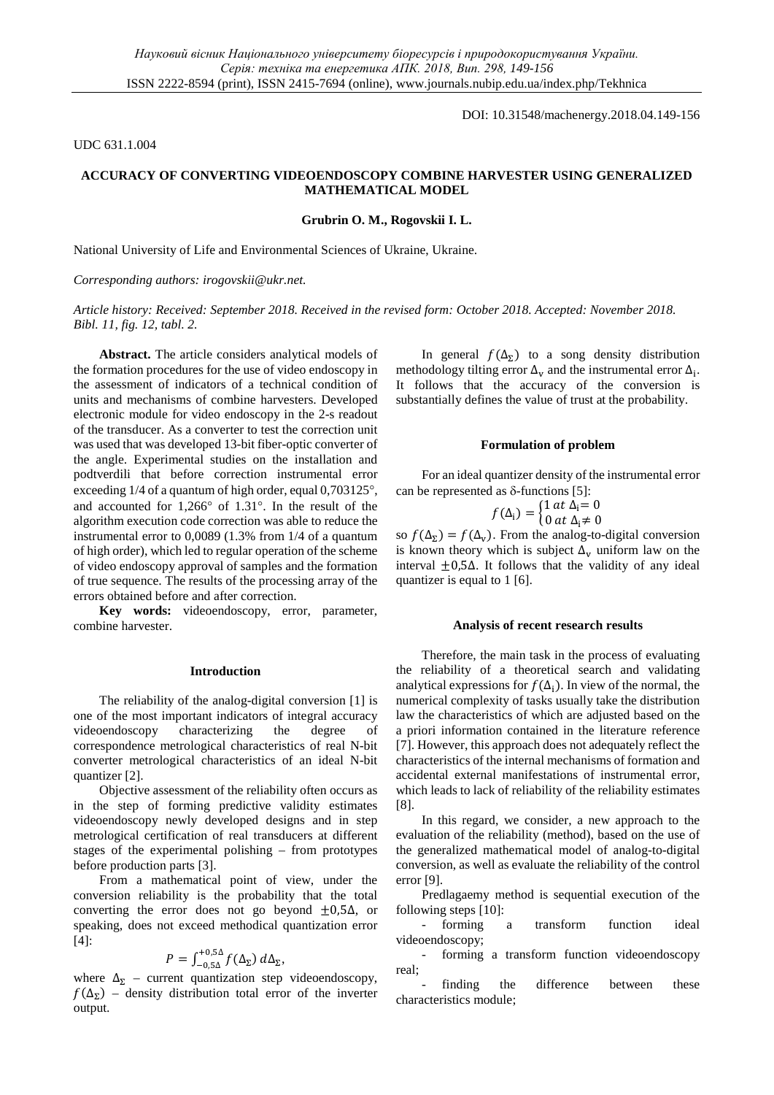DOI: 10.31548/machenergy.2018.04.149-156

UDC 631.1.004

# **ACCURACY OF CONVERTING VIDEOENDOSCOPY COMBINE HARVESTER USING GENERALIZED MATHEMATICAL MODEL**

## **Grubrin O. M., Rogovskii I. L.**

National University of Life and Environmental Sciences of Ukraine, Ukraine.

## *Corresponding authors: [irogovskii@ukr.net.](mailto:rogovskii@ukr.net)*

*Article history: Received: September 2018. Received in the revised form: October 2018. Accepted: November 2018. Bibl. 11, fig. 12, tabl. 2.*

**Abstract.** The article considers analytical models of the formation procedures for the use of video endoscopy in the assessment of indicators of a technical condition of units and mechanisms of combine harvesters. Developed electronic module for video endoscopy in the 2-s readout of the transducer. As a converter to test the correction unit was used that was developed 13-bit fiber-optic converter of the angle. Experimental studies on the installation and podtverdili that before correction instrumental error exceeding 1/4 of a quantum of high order, equal 0,703125°, and accounted for 1,266° of 1.31°. In the result of the algorithm execution code correction was able to reduce the instrumental error to 0,0089 (1.3% from 1/4 of a quantum of high order), which led to regular operation of the scheme of video endoscopy approval of samples and the formation of true sequence. The results of the processing array of the errors obtained before and after correction.

**Key words:** videoendoscopy, error, parameter, combine harvester.

#### **Introduction**

The reliability of the analog-digital conversion [1] is one of the most important indicators of integral accuracy videoendoscopy characterizing the degree of correspondence metrological characteristics of real N-bit converter metrological characteristics of an ideal N-bit quantizer [2].

Objective assessment of the reliability often occurs as in the step of forming predictive validity estimates videoendoscopy newly developed designs and in step metrological certification of real transducers at different stages of the experimental polishing – from prototypes before production parts [3].

From a mathematical point of view, under the conversion reliability is the probability that the total converting the error does not go beyond  $\pm 0.5\Delta$ , or speaking, does not exceed methodical quantization error [4]:

$$
P=\int_{-0,5\Delta}^{+0,5\Delta} f(\Delta_{\Sigma}) d\Delta_{\Sigma},
$$

where  $\Delta_{\Sigma}$  – current quantization step videoendoscopy,  $f(\Delta_{\Sigma})$  – density distribution total error of the inverter output.

In general  $f(\Delta_{\Sigma})$  to a song density distribution methodology tilting error  $\Delta_v$  and the instrumental error  $\Delta_i$ . It follows that the accuracy of the conversion is substantially defines the value of trust at the probability.

### **Formulation of problem**

For an ideal quantizer density of the instrumental error can be represented as  $\delta$ -functions [5]:

$$
f(\Delta_{\mathbf{i}}) = \begin{cases} 1 & \text{at } \Delta_{\mathbf{i}} = 0 \\ 0 & \text{at } \Delta_{\mathbf{i}} \neq 0 \end{cases}
$$

so  $f(\Delta_{\Sigma}) = f(\Delta_{\nu})$ . From the analog-to-digital conversion is known theory which is subject  $\Delta_{\mathbf{v}}$  uniform law on the interval ±0,5∆. It follows that the validity of any ideal quantizer is equal to 1 [6].

#### **Analysis of recent research results**

Therefore, the main task in the process of evaluating the reliability of a theoretical search and validating analytical expressions for  $f(\Delta_i)$ . In view of the normal, the numerical complexity of tasks usually take the distribution law the characteristics of which are adjusted based on the a priori information contained in the literature reference [7]. However, this approach does not adequately reflect the characteristics of the internal mechanisms of formation and accidental external manifestations of instrumental error, which leads to lack of reliability of the reliability estimates [8].

In this regard, we consider, a new approach to the evaluation of the reliability (method), based on the use of the generalized mathematical model of analog-to-digital conversion, as well as evaluate the reliability of the control error [9].

Predlagaemy method is sequential execution of the following steps [10]:

- forming a transform function ideal videoendoscopy;

- forming a transform function videoendoscopy real;

- finding the difference between these characteristics module;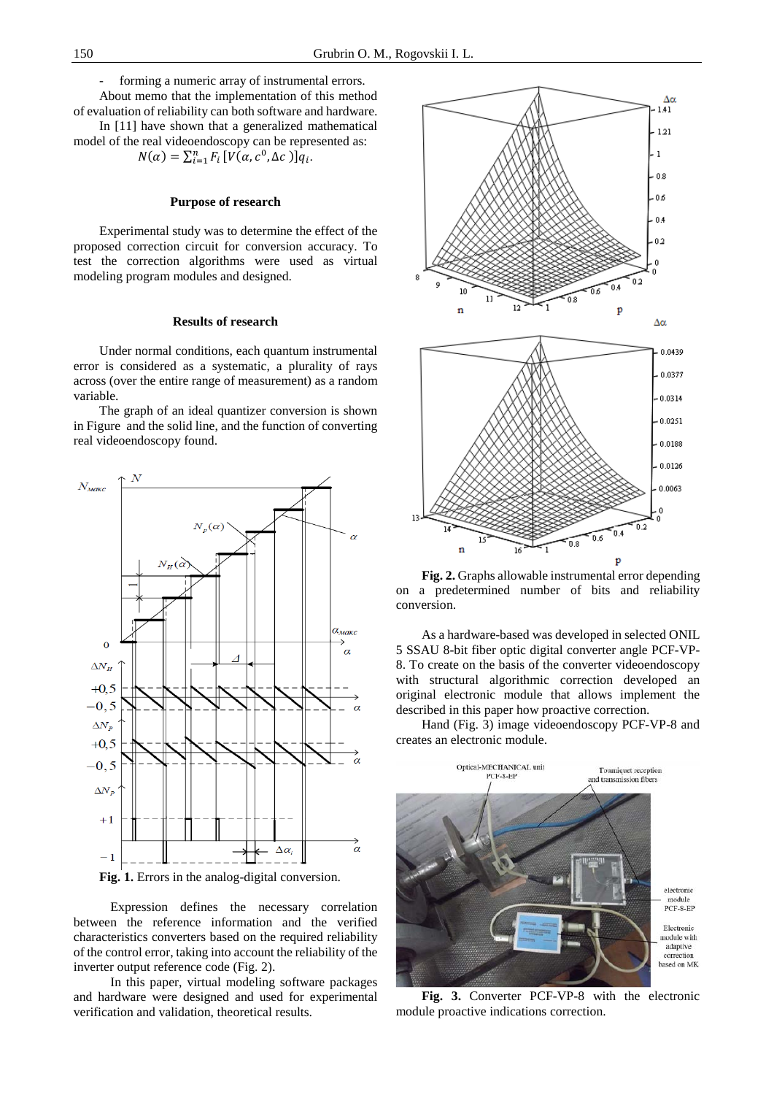forming a numeric array of instrumental errors.

About memo that the implementation of this method of evaluation of reliability can both software and hardware.

In [11] have shown that a generalized mathematical model of the real videoendoscopy can be represented as:

 $N(\alpha) = \sum_{i=1}^{n} F_i \left[ V(\alpha, c^0, \Delta c) \right] q_i.$ 

## **Purpose of research**

Experimental study was to determine the effect of the proposed correction circuit for conversion accuracy. To test the correction algorithms were used as virtual modeling program modules and designed.

## **Results of research**

Under normal conditions, each quantum instrumental error is considered as a systematic, a plurality of rays across (over the entire range of measurement) as a random variable.

The graph of an ideal quantizer conversion is shown in Figure and the solid line, and the function of converting real videoendoscopy found.



**Fig. 1.** Errors in the analog-digital conversion.

Expression defines the necessary correlation between the reference information and the verified characteristics converters based on the required reliability of the control error, taking into account the reliability of the inverter output reference code (Fig. 2).

In this paper, virtual modeling software packages and hardware were designed and used for experimental verification and validation, theoretical results.



**Fig. 2.** Graphs allowable instrumental error depending on a predetermined number of bits and reliability conversion.

As a hardware-based was developed in selected ONIL 5 SSAU 8-bit fiber optic digital converter angle PCF-VP-8. To create on the basis of the converter videoendoscopy with structural algorithmic correction developed an original electronic module that allows implement the described in this paper how proactive correction.

Hand (Fig. 3) image videoendoscopy PCF-VP-8 and creates an electronic module.



**Fig. 3.** Converter PCF-VP-8 with the electronic module proactive indications correction.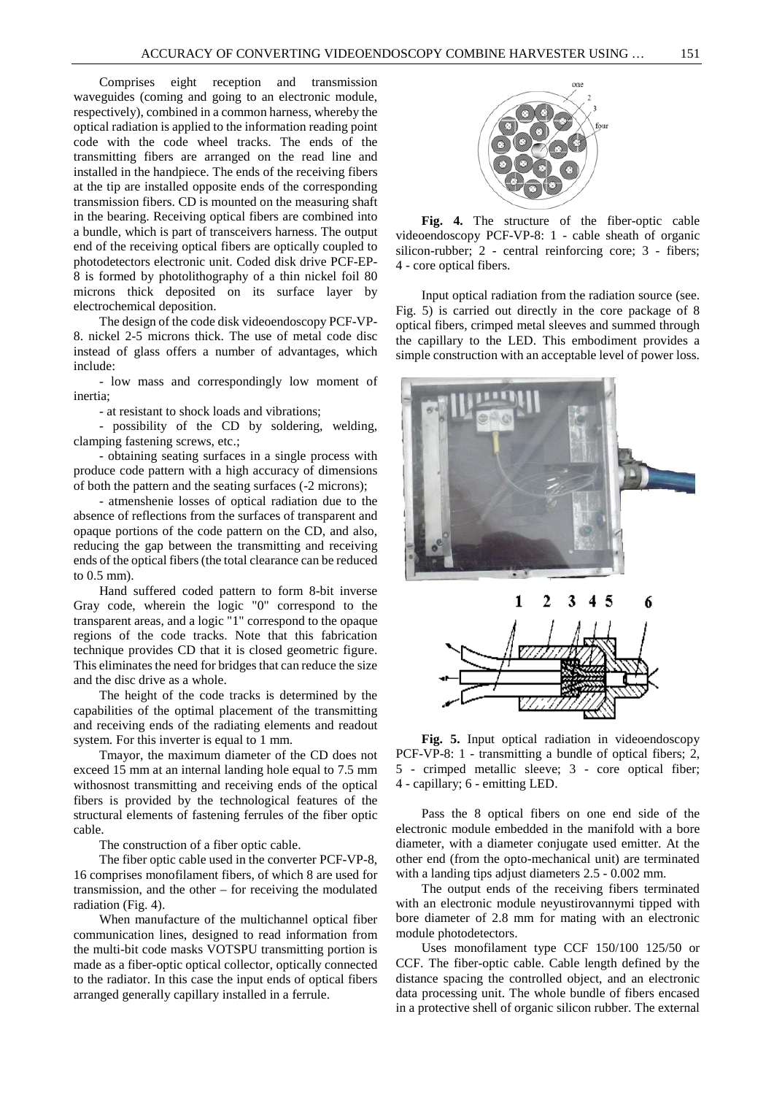Comprises eight reception and transmission waveguides (coming and going to an electronic module, respectively), combined in a common harness, whereby the optical radiation is applied to the information reading point code with the code wheel tracks. The ends of the transmitting fibers are arranged on the read line and installed in the handpiece. The ends of the receiving fibers at the tip are installed opposite ends of the corresponding transmission fibers. CD is mounted on the measuring shaft in the bearing. Receiving optical fibers are combined into a bundle, which is part of transceivers harness. The output end of the receiving optical fibers are optically coupled to photodetectors electronic unit. Coded disk drive PCF-EP-8 is formed by photolithography of a thin nickel foil 80 microns thick deposited on its surface layer by electrochemical deposition.

The design of the code disk videoendoscopy PCF-VP-8. nickel 2-5 microns thick. The use of metal code disc instead of glass offers a number of advantages, which include:

- low mass and correspondingly low moment of inertia;

- at resistant to shock loads and vibrations;

- possibility of the CD by soldering, welding, clamping fastening screws, etc.;

- obtaining seating surfaces in a single process with produce code pattern with a high accuracy of dimensions of both the pattern and the seating surfaces (-2 microns);

- atmenshenie losses of optical radiation due to the absence of reflections from the surfaces of transparent and opaque portions of the code pattern on the CD, and also, reducing the gap between the transmitting and receiving ends of the optical fibers (the total clearance can be reduced to 0.5 mm).

Hand suffered coded pattern to form 8-bit inverse Gray code, wherein the logic "0" correspond to the transparent areas, and a logic "1" correspond to the opaque regions of the code tracks. Note that this fabrication technique provides CD that it is closed geometric figure. This eliminates the need for bridges that can reduce the size and the disc drive as a whole.

The height of the code tracks is determined by the capabilities of the optimal placement of the transmitting and receiving ends of the radiating elements and readout system. For this inverter is equal to 1 mm.

Tmayor, the maximum diameter of the CD does not exceed 15 mm at an internal landing hole equal to 7.5 mm withosnost transmitting and receiving ends of the optical fibers is provided by the technological features of the structural elements of fastening ferrules of the fiber optic cable.

The construction of a fiber optic cable.

The fiber optic cable used in the converter PCF-VP-8, 16 comprises monofilament fibers, of which 8 are used for transmission, and the other – for receiving the modulated radiation (Fig. 4).

When manufacture of the multichannel optical fiber communication lines, designed to read information from the multi-bit code masks VOTSPU transmitting portion is made as a fiber-optic optical collector, optically connected to the radiator. In this case the input ends of optical fibers arranged generally capillary installed in a ferrule.



**Fig. 4.** The structure of the fiber-optic cable videoendoscopy PCF-VP-8: 1 - cable sheath of organic silicon-rubber; 2 - central reinforcing core; 3 - fibers; 4 - core optical fibers.

Input optical radiation from the radiation source (see. Fig. 5) is carried out directly in the core package of 8 optical fibers, crimped metal sleeves and summed through the capillary to the LED. This embodiment provides a simple construction with an acceptable level of power loss.



**Fig. 5.** Input optical radiation in videoendoscopy PCF-VP-8: 1 - transmitting a bundle of optical fibers; 2, 5 - crimped metallic sleeve; 3 - core optical fiber; 4 - capillary; 6 - emitting LED.

Pass the 8 optical fibers on one end side of the electronic module embedded in the manifold with a bore diameter, with a diameter conjugate used emitter. At the other end (from the opto-mechanical unit) are terminated with a landing tips adjust diameters 2.5 - 0.002 mm.

The output ends of the receiving fibers terminated with an electronic module neyustirovannymi tipped with bore diameter of 2.8 mm for mating with an electronic module photodetectors.

Uses monofilament type CCF 150/100 125/50 or CCF. The fiber-optic cable. Cable length defined by the distance spacing the controlled object, and an electronic data processing unit. The whole bundle of fibers encased in a protective shell of organic silicon rubber. The external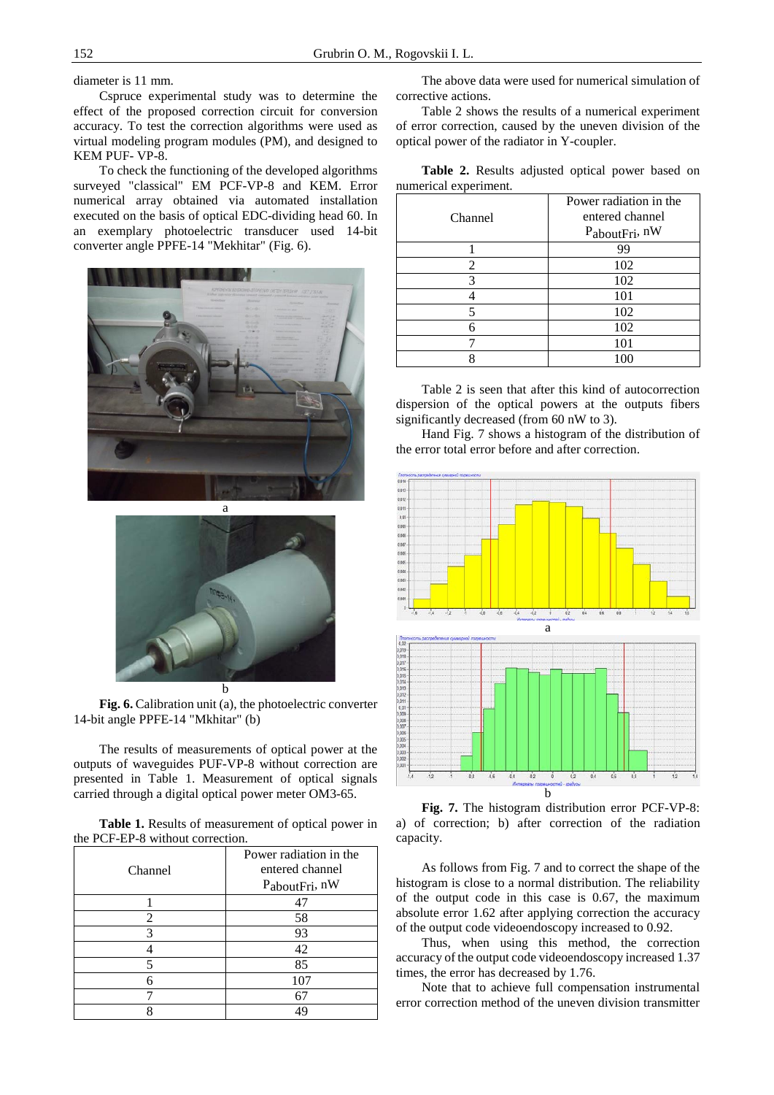diameter is 11 mm.

Cspruce experimental study was to determine the effect of the proposed correction circuit for conversion accuracy. To test the correction algorithms were used as virtual modeling program modules (PM), and designed to KEM PUF- VP-8.

To check the functioning of the developed algorithms surveyed "classical" EM PCF-VP-8 and KEM. Error numerical array obtained via automated installation executed on the basis of optical EDC-dividing head 60. In an exemplary photoelectric transducer used 14-bit converter angle PPFE-14 "Mekhitar" (Fig. 6).





**Fig. 6.** Calibration unit (a), the photoelectric converter 14-bit angle PPFE-14 "Mkhitar" (b)

The results of measurements of optical power at the outputs of waveguides PUF-VP-8 without correction are presented in Table 1. Measurement of optical signals carried through a digital optical power meter OM3-65.

**Table 1.** Results of measurement of optical power in the PCF-EP-8 without correction.

| Channel        | Power radiation in the<br>entered channel<br>PaboutFri, nW |
|----------------|------------------------------------------------------------|
|                |                                                            |
| $\mathfrak{D}$ | 58                                                         |
| 3              | 93                                                         |
|                | 42                                                         |
|                | 85                                                         |
|                | 107                                                        |
|                |                                                            |
|                |                                                            |

The above data were used for numerical simulation of corrective actions.

Table 2 shows the results of a numerical experiment of error correction, caused by the uneven division of the optical power of the radiator in Y-coupler.

**Table 2.** Results adjusted optical power based on numerical experiment.

| Channel | Power radiation in the<br>entered channel<br>$P_{about Fri}$ , nW |
|---------|-------------------------------------------------------------------|
|         | 99                                                                |
| 2       | 102                                                               |
| 3       | 102                                                               |
|         | 101                                                               |
|         | 102                                                               |
| 6       | 102                                                               |
|         | 101                                                               |
|         | 100                                                               |

Table 2 is seen that after this kind of autocorrection dispersion of the optical powers at the outputs fibers significantly decreased (from 60 nW to 3).

Hand Fig. 7 shows a histogram of the distribution of the error total error before and after correction.



**Fig. 7.** The histogram distribution error PCF-VP-8: a) of correction; b) after correction of the radiation capacity.

As follows from Fig. 7 and to correct the shape of the histogram is close to a normal distribution. The reliability of the output code in this case is 0.67, the maximum absolute error 1.62 after applying correction the accuracy of the output code videoendoscopy increased to 0.92.

Thus, when using this method, the correction accuracy of the output code videoendoscopy increased 1.37 times, the error has decreased by 1.76.

Note that to achieve full compensation instrumental error correction method of the uneven division transmitter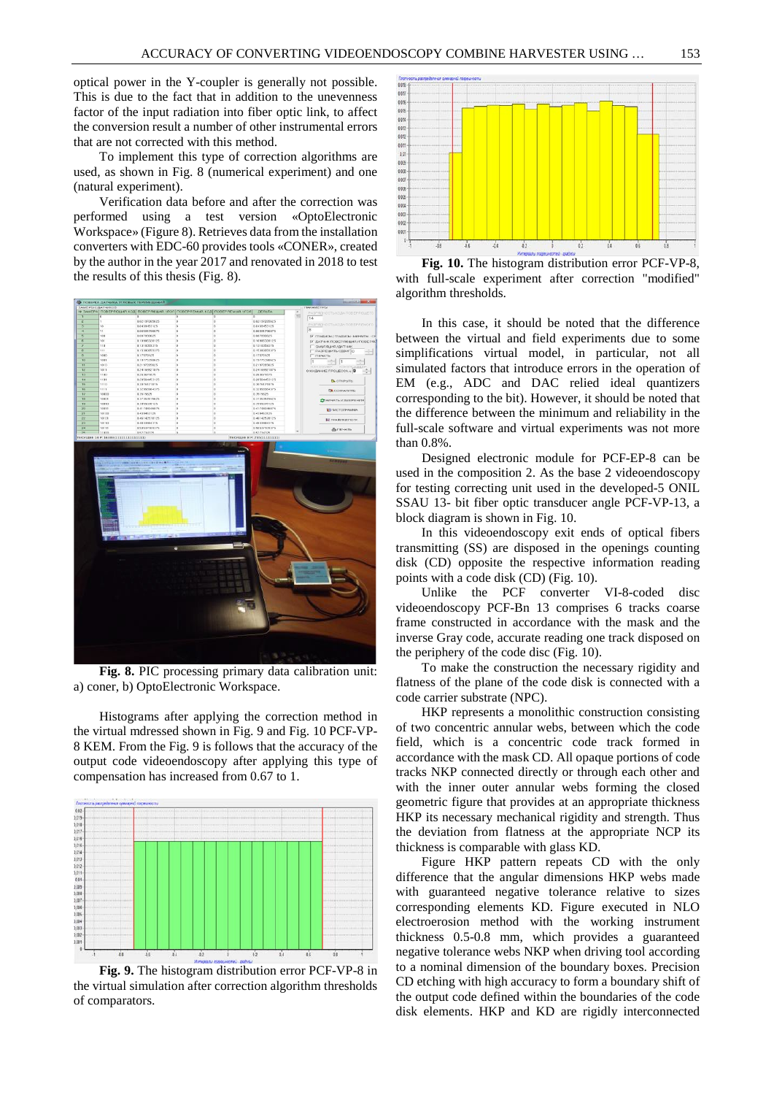optical power in the Y-coupler is generally not possible. This is due to the fact that in addition to the unevenness factor of the input radiation into fiber optic link, to affect the conversion result a number of other instrumental errors that are not corrected with this method.

To implement this type of correction algorithms are used, as shown in Fig. 8 (numerical experiment) and one (natural experiment).

Verification data before and after the correction was performed using a test version «OptoElectronic Workspace» (Figure 8). Retrieves data from the installation converters with EDC-60 provides tools «CONER», created by the author in the year 2017 and renovated in 2018 to test the results of this thesis (Fig. 8).



**Fig. 8.** PIC processing primary data calibration unit: a) coner, b) OptoElectronic Workspace.

Histograms after applying the correction method in the virtual mdressed shown in Fig. 9 and Fig. 10 PCF-VP-8 KEM. From the Fig. 9 is follows that the accuracy of the output code videoendoscopy after applying this type of compensation has increased from 0.67 to 1.



**Fig. 9.** The histogram distribution error PCF-VP-8 in the virtual simulation after correction algorithm thresholds of comparators.



**Fig. 10.** The histogram distribution error PCF-VP-8, with full-scale experiment after correction "modified" algorithm thresholds.

In this case, it should be noted that the difference between the virtual and field experiments due to some simplifications virtual model, in particular, not all simulated factors that introduce errors in the operation of EM (e.g., ADC and DAC relied ideal quantizers corresponding to the bit). However, it should be noted that the difference between the minimum and reliability in the full-scale software and virtual experiments was not more than 0.8%.

Designed electronic module for PCF-EP-8 can be used in the composition 2. As the base 2 videoendoscopy for testing correcting unit used in the developed-5 ONIL SSAU 13- bit fiber optic transducer angle PCF-VP-13, a block diagram is shown in Fig. 10.

In this videoendoscopy exit ends of optical fibers transmitting (SS) are disposed in the openings counting disk (CD) opposite the respective information reading points with a code disk (CD) (Fig. 10).

Unlike the PCF converter VI-8-coded disc videoendoscopy PCF-Bn 13 comprises 6 tracks coarse frame constructed in accordance with the mask and the inverse Gray code, accurate reading one track disposed on the periphery of the code disc (Fig. 10).

To make the construction the necessary rigidity and flatness of the plane of the code disk is connected with a code carrier substrate (NPC).

HKP represents a monolithic construction consisting of two concentric annular webs, between which the code field, which is a concentric code track formed in accordance with the mask CD. All opaque portions of code tracks NKP connected directly or through each other and with the inner outer annular webs forming the closed geometric figure that provides at an appropriate thickness HKP its necessary mechanical rigidity and strength. Thus the deviation from flatness at the appropriate NCP its thickness is comparable with glass KD.

Figure HKP pattern repeats CD with the only difference that the angular dimensions HKP webs made with guaranteed negative tolerance relative to sizes corresponding elements KD. Figure executed in NLO electroerosion method with the working instrument thickness 0.5-0.8 mm, which provides a guaranteed negative tolerance webs NKP when driving tool according to a nominal dimension of the boundary boxes. Precision CD etching with high accuracy to form a boundary shift of the output code defined within the boundaries of the code disk elements. HKP and KD are rigidly interconnected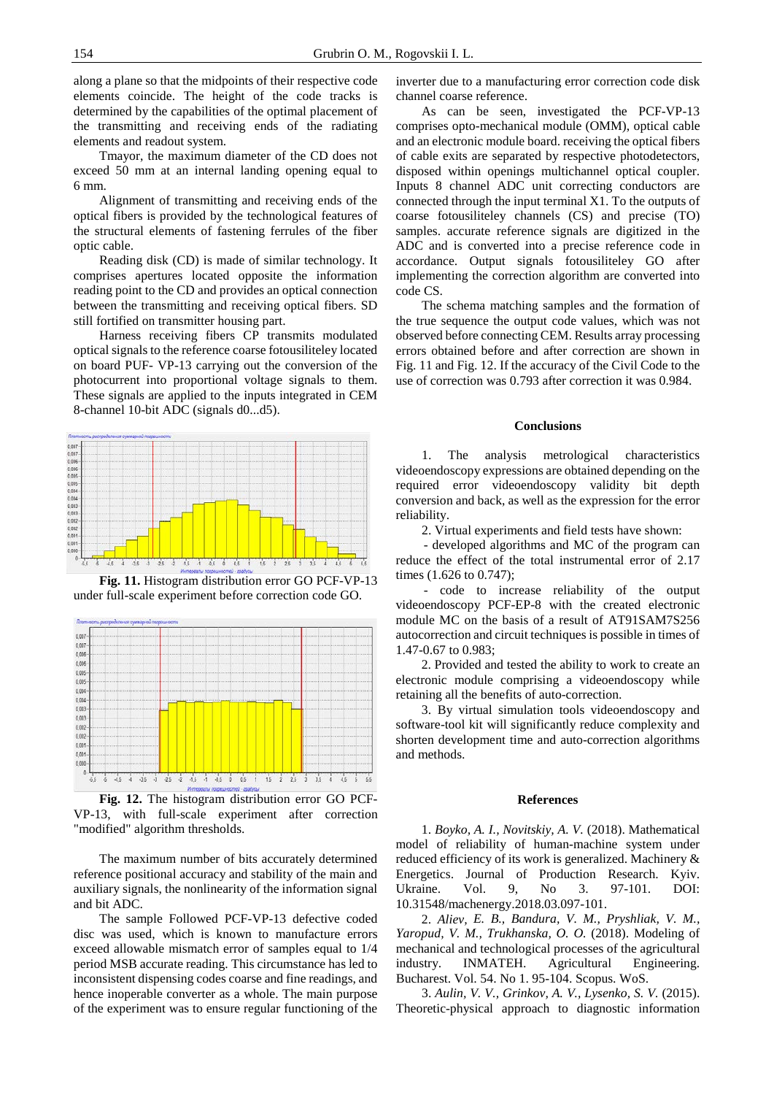along a plane so that the midpoints of their respective code elements coincide. The height of the code tracks is determined by the capabilities of the optimal placement of the transmitting and receiving ends of the radiating elements and readout system.

Tmayor, the maximum diameter of the CD does not exceed 50 mm at an internal landing opening equal to 6 mm.

Alignment of transmitting and receiving ends of the optical fibers is provided by the technological features of the structural elements of fastening ferrules of the fiber optic cable.

Reading disk (CD) is made of similar technology. It comprises apertures located opposite the information reading point to the CD and provides an optical connection between the transmitting and receiving optical fibers. SD still fortified on transmitter housing part.

Harness receiving fibers CP transmits modulated optical signals to the reference coarse fotousiliteley located on board PUF- VP-13 carrying out the conversion of the photocurrent into proportional voltage signals to them. These signals are applied to the inputs integrated in CEM 8-channel 10-bit ADC (signals d0...d5).



**Fig. 11.** Histogram distribution error GO PCF-VP-13 under full-scale experiment before correction code GO.



**Fig. 12.** The histogram distribution error GO PCF-VP-13, with full-scale experiment after correction "modified" algorithm thresholds.

The maximum number of bits accurately determined reference positional accuracy and stability of the main and auxiliary signals, the nonlinearity of the information signal and bit ADC.

The sample Followed PCF-VP-13 defective coded disc was used, which is known to manufacture errors exceed allowable mismatch error of samples equal to 1/4 period MSB accurate reading. This circumstance has led to inconsistent dispensing codes coarse and fine readings, and hence inoperable converter as a whole. The main purpose of the experiment was to ensure regular functioning of the inverter due to a manufacturing error correction code disk channel coarse reference.

As can be seen, investigated the PCF-VP-13 comprises opto-mechanical module (OMM), optical cable and an electronic module board. receiving the optical fibers of cable exits are separated by respective photodetectors, disposed within openings multichannel optical coupler. Inputs 8 channel ADC unit correcting conductors are connected through the input terminal X1. To the outputs of coarse fotousiliteley channels (CS) and precise (TO) samples. accurate reference signals are digitized in the ADC and is converted into a precise reference code in accordance. Output signals fotousiliteley GO after implementing the correction algorithm are converted into code CS.

The schema matching samples and the formation of the true sequence the output code values, which was not observed before connecting CEM. Results array processing errors obtained before and after correction are shown in Fig. 11 and Fig. 12. If the accuracy of the Civil Code to the use of correction was 0.793 after correction it was 0.984.

#### **Conclusions**

1. The analysis metrological characteristics videoendoscopy expressions are obtained depending on the required error videoendoscopy validity bit depth conversion and back, as well as the expression for the error reliability.

2. Virtual experiments and field tests have shown:

- developed algorithms and MC of the program can reduce the effect of the total instrumental error of 2.17 times (1.626 to 0.747);

- code to increase reliability of the output videoendoscopy PCF-EP-8 with the created electronic module MC on the basis of a result of AT91SAM7S256 autocorrection and circuit techniques is possible in times of 1.47-0.67 to 0.983;

2. Provided and tested the ability to work to create an electronic module comprising a videoendoscopy while retaining all the benefits of auto-correction.

3. By virtual simulation tools videoendoscopy and software-tool kit will significantly reduce complexity and shorten development time and auto-correction algorithms and methods.

### **References**

1. *Boyko, A. I., Novitskiy, A. V.* (2018). Mathematical model of reliability of human-machine system under reduced efficiency of its work is generalized. Machinery & Energetics. Journal of Production Research. Kyiv. Ukraine. Vol. 9, No 3. 97-101. DOI: 10.31548/machenergy.2018.03.097-101.

2. *Aliev, E. B., Bandura, V. M., Pryshliak, V. M., Yaropud, V. M., Trukhanska, O. O.* (2018). Modeling of mechanical and technological processes of the agricultural industry. INMATEH. Agricultural Engineering. Bucharest. Vol. 54. No 1. 95-104. Scopus. WoS.

3. *Aulin, V. V., Grinkov, A. V., Lysenko, S. V.* (2015). Theoretic-physical approach to diagnostic information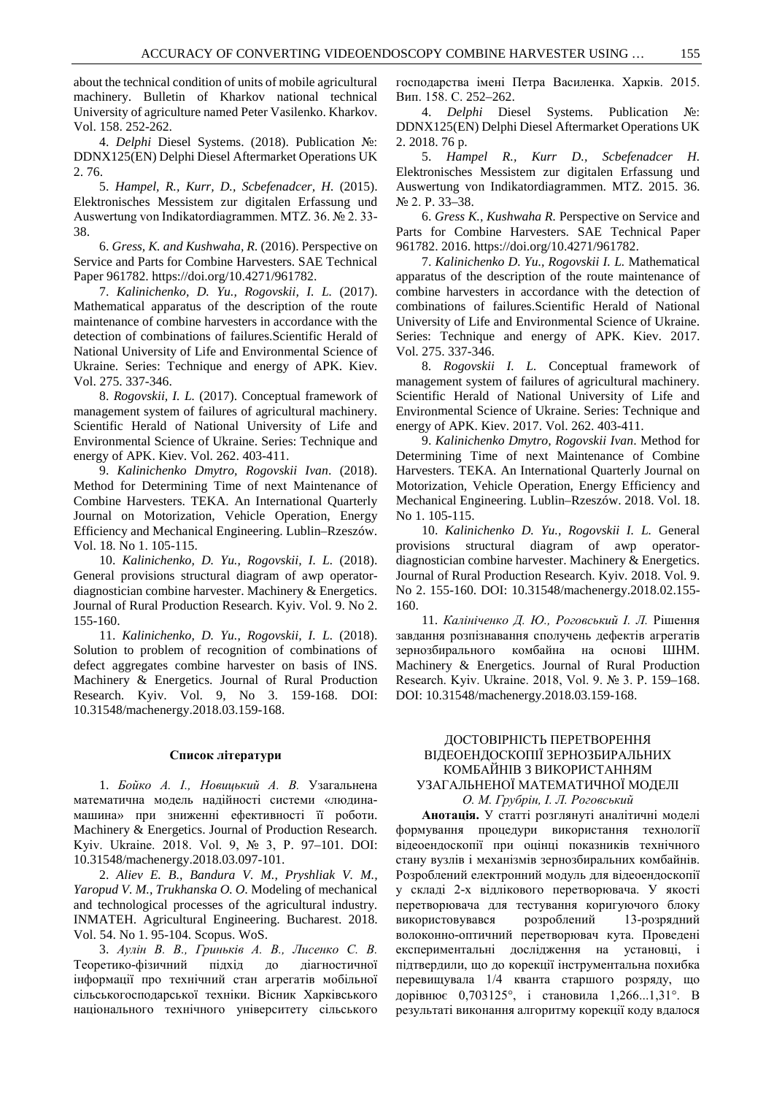about the technical condition of units of mobile agricultural machinery. Bulletin of Kharkov national technical University of agriculture named Peter Vasilenko. Kharkov. Vol. 158. 252-262.

4. *Delphi* Diesel Systems. (2018). Publication №: DDNX125(EN) Delphi Diesel Aftermarket Operations UK 2. 76.

5. *Hampel, R., Kurr, D., Scbefenadcer, H.* (2015). Elektronisches Messistem zur digitalen Erfassung und Auswertung von Indikatordiagrammen. MTZ. 36. № 2. 33- 38.

6. *Gress, K. and Kushwaha, R.* (2016). Perspective on Service and Parts for Combine Harvesters. SAE Technical Paper 961782. [https://doi.org/10.4271/961782.](https://doi.org/10.4271/961782)

7. *Kalinichenko, D. Yu., Rogovskii, I. L.* (2017). Mathematical apparatus of the description of the route maintenance of combine harvesters in accordance with the detection of combinations of failures.Scientific Herald of National University of Life and Environmental Science of Ukraine. Series: Technique and energy of APK. Kiev. Vol. 275. 337-346.

8. *Rogovskii, I. L.* (2017). Conceptual framework of management system of failures of agricultural machinery. Scientific Herald of National University of Life and Environmental Science of Ukraine. Series: Technique and energy of APK. Kiev. Vol. 262. 403-411.

9. *Kalinichenko Dmytro, Rogovskii Ivan*. (2018). [Method for Determining Time of next Maintenance of](http://www.findpatent.ru/patent/247/2475854.html)  Combine Harvesters. TEKA. An International Quarterly Journal on Motorization, Vehicle Operation, Energy Efficiency and Mechanical Engineering. Lublin–Rzeszów. Vol. 18. No 1. 105-115.

10. *Kalinichenko, D. Yu., Rogovskii, I. L.* (2018). General provisions structural diagram of awp operatordiagnostician combine harvester. Machinery & Energetics. Journal of Rural Production Research. Kyiv. Vol. 9. No 2. 155-160.

11. *Kalinichenko, D. Yu., Rogovskii, I. L.* (2018). Solution to problem of recognition of combinations of defect aggregates combine harvester on basis of INS. Machinery & Energetics. Journal of Rural Production Research. Kyiv. Vol. 9, No 3. 159-168. DOI: 10.31548/machenergy.2018.03.159-168.

#### **Список літератури**

1. *Бойко А. І., Новицький А. В.* Узагальнена математична модель надійності системи «людинамашина» при зниженні ефективності її роботи. Machinery & Energetics. Journal of Production Research. Kyiv. Ukraine. 2018. Vol. 9, № 3, Р. 97–101. DOI: 10.31548/machenergy.2018.03.097-101.

2. *Aliev E. B., Bandura V. M., Pryshliak V. M., Yaropud V. M., Trukhanska O. O.* Modeling of mechanical and technological processes of the agricultural industry. INMATEH. Agricultural Engineering. Bucharest. 2018. Vol. 54. No 1. 95-104. Scopus. WoS.

3. *Аулін В. В., Гриньків А. В., Лисенко С. В.* Теоретико-фізичний підхід до діагностичної інформації про технічний стан агрегатів мобільної сільськогосподарської техніки. Вісник Харківського національного технічного університету сільського господарства імені Петра Василенка. Харків. 2015. Вип. 158. С. 252–262.

4. *Delphi* Diesel Systems. Publication №: DDNX125(EN) Delphi Diesel Aftermarket Operations UK 2. 2018. 76 p.

5. *Hampel R., Kurr D., Scbefenadcer H.* Elektronisches Messistem zur digitalen Erfassung und Auswertung von Indikatordiagrammen. MTZ. 2015. 36. № 2. P. 33–38.

6. *Gress K., Kushwaha R.* Perspective on Service and Parts for Combine Harvesters. SAE Technical Paper 961782. 2016[. https://doi.org/10.4271/961782.](https://doi.org/10.4271/961782)

7. *Kalinichenko D. Yu., Rogovskii I. L.* Mathematical apparatus of the description of the route maintenance of combine harvesters in accordance with the detection of combinations of failures.Scientific Herald of National University of Life and Environmental Science of Ukraine. Series: Technique and energy of APK. Kiev. 2017. Vol. 275. 337-346.

8. *Rogovskii I. L.* Conceptual framework of management system of failures of agricultural machinery. Scientific Herald of National University of Life and Environmental Science of Ukraine. Series: Technique and energy of APK. Kiev. 2017. Vol. 262. 403-411.

9. *Kalinichenko Dmytro, Rogovskii Ivan*. [Method for](http://www.findpatent.ru/patent/247/2475854.html)  [Determining Time of next Maintenance of C](http://www.findpatent.ru/patent/247/2475854.html)ombine Harvesters. TEKA. An International Quarterly Journal on Motorization, Vehicle Operation, Energy Efficiency and Mechanical Engineering. Lublin–Rzeszów. 2018. Vol. 18. No 1. 105-115.

10. *Kalinichenko D. Yu., Rogovskii I. L.* General provisions structural diagram of awp operatordiagnostician combine harvester. Machinery & Energetics. Journal of Rural Production Research. Kyiv. 2018. Vol. 9. No 2. 155-160. DOI: 10.31548/machenergy.2018.02.155- 160.

11. *Калініченко Д. Ю., Роговський І. Л.* Рішення завдання розпізнавання сполучень дефектів агрегатів зернозбирального комбайна на основі ШНМ. Machinery & Energetics. Journal of Rural Production Research. Kyiv. Ukraine. 2018, Vol. 9. № 3. Р. 159–168. DOI: 10.31548/machenergy.2018.03.159-168.

# ДОСТОВІРНІСТЬ ПЕРЕТВОРЕННЯ ВІДЕОЕНДОСКОПІЇ ЗЕРНОЗБИРАЛЬНИХ КОМБАЙНІВ З ВИКОРИСТАННЯМ УЗАГАЛЬНЕНОЇ МАТЕМАТИЧНОЇ МОДЕЛІ *O. М. Грубрін, І. Л. Роговський*

**Анотація.** У статті розглянуті аналітичні моделі формування процедури використання технології відеоендоскопії при оцінці показників технічного стану вузлів і механізмів зернозбиральних комбайнів. Розроблений електронний модуль для відеоендоскопії у складі 2-х відлікового перетворювача. У якості перетворювача для тестування коригуючого блоку використовувався розроблений 13-розрядний волоконно-оптичний перетворювач кута. Проведені експериментальні дослідження на установці, і підтвердили, що до корекції інструментальна похибка перевищувала 1/4 кванта старшого розряду, що дорівнює 0,703125°, і становила 1,266...1,31°. В результаті виконання алгоритму корекції коду вдалося